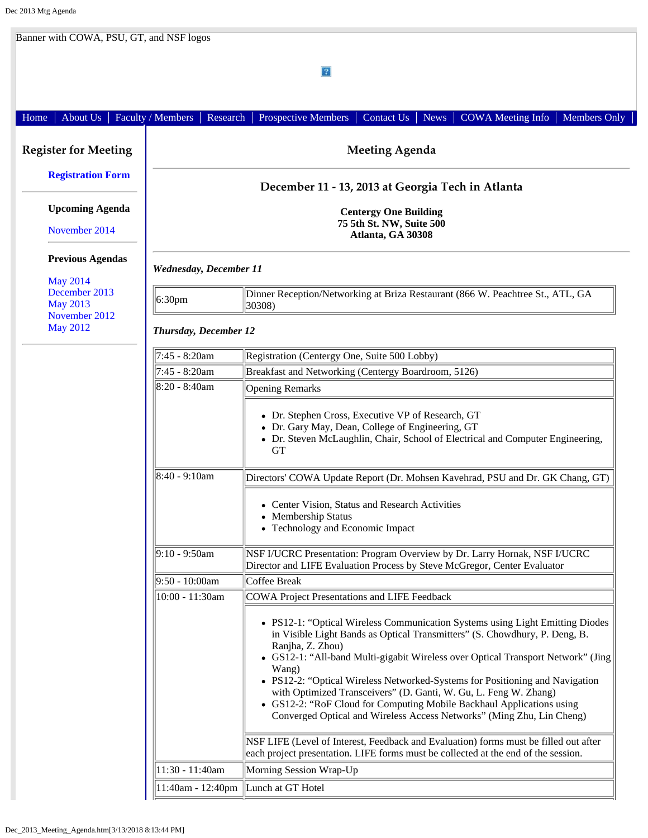| 2 <br>Faculty / Members<br>About Us<br>Research<br>Prospective Members<br>Contact Us<br><b>News</b><br><b>COWA</b> Meeting Info<br>Members Only<br>Home |                                                                               |                                                                                                                                                                                                                                                                                                                                                                                                                                                                                                                                                                                                                                                                                                                            |  |  |
|---------------------------------------------------------------------------------------------------------------------------------------------------------|-------------------------------------------------------------------------------|----------------------------------------------------------------------------------------------------------------------------------------------------------------------------------------------------------------------------------------------------------------------------------------------------------------------------------------------------------------------------------------------------------------------------------------------------------------------------------------------------------------------------------------------------------------------------------------------------------------------------------------------------------------------------------------------------------------------------|--|--|
|                                                                                                                                                         |                                                                               |                                                                                                                                                                                                                                                                                                                                                                                                                                                                                                                                                                                                                                                                                                                            |  |  |
| <b>Registration Form</b>                                                                                                                                |                                                                               |                                                                                                                                                                                                                                                                                                                                                                                                                                                                                                                                                                                                                                                                                                                            |  |  |
| <b>Upcoming Agenda</b><br>November 2014                                                                                                                 | <b>Centergy One Building</b><br>75 5th St. NW, Suite 500<br>Atlanta, GA 30308 |                                                                                                                                                                                                                                                                                                                                                                                                                                                                                                                                                                                                                                                                                                                            |  |  |
| <b>Previous Agendas</b>                                                                                                                                 | <b>Wednesday, December 11</b>                                                 |                                                                                                                                                                                                                                                                                                                                                                                                                                                                                                                                                                                                                                                                                                                            |  |  |
| <b>May 2014</b><br>December 2013<br><b>May 2013</b><br>November 2012<br><b>May 2012</b>                                                                 | $ 6:30$ pm                                                                    | Dinner Reception/Networking at Briza Restaurant (866 W. Peachtree St., ATL, GA<br>30308)                                                                                                                                                                                                                                                                                                                                                                                                                                                                                                                                                                                                                                   |  |  |
|                                                                                                                                                         | <b>Thursday, December 12</b>                                                  |                                                                                                                                                                                                                                                                                                                                                                                                                                                                                                                                                                                                                                                                                                                            |  |  |
|                                                                                                                                                         | 7:45 - 8:20am                                                                 | Registration (Centergy One, Suite 500 Lobby)                                                                                                                                                                                                                                                                                                                                                                                                                                                                                                                                                                                                                                                                               |  |  |
|                                                                                                                                                         | 7:45 - 8:20am                                                                 | Breakfast and Networking (Centergy Boardroom, 5126)                                                                                                                                                                                                                                                                                                                                                                                                                                                                                                                                                                                                                                                                        |  |  |
|                                                                                                                                                         | 8:20 - 8:40am                                                                 | <b>Opening Remarks</b>                                                                                                                                                                                                                                                                                                                                                                                                                                                                                                                                                                                                                                                                                                     |  |  |
|                                                                                                                                                         |                                                                               | • Dr. Stephen Cross, Executive VP of Research, GT<br>• Dr. Gary May, Dean, College of Engineering, GT<br>• Dr. Steven McLaughlin, Chair, School of Electrical and Computer Engineering,<br><b>GT</b>                                                                                                                                                                                                                                                                                                                                                                                                                                                                                                                       |  |  |
|                                                                                                                                                         | $8:40 - 9:10am$                                                               | Directors' COWA Update Report (Dr. Mohsen Kavehrad, PSU and Dr. GK Chang, GT)                                                                                                                                                                                                                                                                                                                                                                                                                                                                                                                                                                                                                                              |  |  |
|                                                                                                                                                         |                                                                               | • Center Vision, Status and Research Activities<br>• Membership Status<br>• Technology and Economic Impact                                                                                                                                                                                                                                                                                                                                                                                                                                                                                                                                                                                                                 |  |  |
|                                                                                                                                                         | $9:10 - 9:50$ am                                                              | NSF I/UCRC Presentation: Program Overview by Dr. Larry Hornak, NSF I/UCRC<br>Director and LIFE Evaluation Process by Steve McGregor, Center Evaluator                                                                                                                                                                                                                                                                                                                                                                                                                                                                                                                                                                      |  |  |
|                                                                                                                                                         | $9:50 - 10:00am$                                                              | Coffee Break                                                                                                                                                                                                                                                                                                                                                                                                                                                                                                                                                                                                                                                                                                               |  |  |
|                                                                                                                                                         | 10:00 - 11:30am                                                               | COWA Project Presentations and LIFE Feedback<br>• PS12-1: "Optical Wireless Communication Systems using Light Emitting Diodes<br>in Visible Light Bands as Optical Transmitters" (S. Chowdhury, P. Deng, B.<br>Ranjha, Z. Zhou)<br>• GS12-1: "All-band Multi-gigabit Wireless over Optical Transport Network" (Jing<br>Wang)<br>• PS12-2: "Optical Wireless Networked-Systems for Positioning and Navigation<br>with Optimized Transceivers" (D. Ganti, W. Gu, L. Feng W. Zhang)<br>• GS12-2: "RoF Cloud for Computing Mobile Backhaul Applications using<br>Converged Optical and Wireless Access Networks" (Ming Zhu, Lin Cheng)<br>NSF LIFE (Level of Interest, Feedback and Evaluation) forms must be filled out after |  |  |
|                                                                                                                                                         | 11:30 - 11:40am                                                               | each project presentation. LIFE forms must be collected at the end of the session.<br>Morning Session Wrap-Up                                                                                                                                                                                                                                                                                                                                                                                                                                                                                                                                                                                                              |  |  |
|                                                                                                                                                         |                                                                               | 11:40am - 12:40pm  Lunch at GT Hotel                                                                                                                                                                                                                                                                                                                                                                                                                                                                                                                                                                                                                                                                                       |  |  |
|                                                                                                                                                         |                                                                               |                                                                                                                                                                                                                                                                                                                                                                                                                                                                                                                                                                                                                                                                                                                            |  |  |